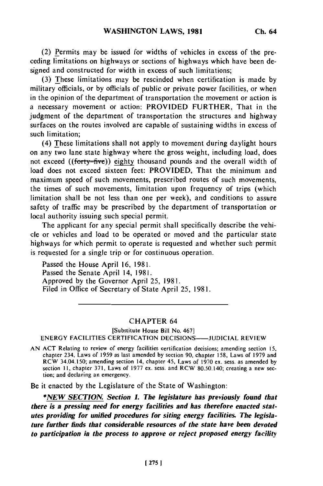(2) Permits may be issued for widths of vehicles in excess of the preceding limitations on highways or sections of highways which have been designed and constructed for width in excess of such limitations;

(3) These limitations may be rescinded when certification is made by military officials, or by officials of public or private power facilities, or when in the opinion of the department of transportation the movement or action is a necessary movement or action: PROVIDED FURTHER, That in the judgment of the department of transportation the structures and highway surfaces on the routes involved are capable of sustaining widths in excess of such limitation;

(4) These limitations shall not apply to movement during daylight hours on any two lane state highway where the gross weight, including load, does not exceed ((forty=five)) eighty thousand pounds and the overall width of load does not exceed sixteen feet: PROVIDED, That the minimum and maximum speed of such movements, prescribed routes of such movements, the times of such movements, limitation upon frequency of trips (which limitation shall be not less than one per week), and conditions to assure safety of traffic may be prescribed by the department of transportation or local authority issuing such special permit.

The applicant for any special permit shall specifically describe the vehicle or vehicles and load to be operated or moved and the particular state highways for which permit to operate is requested and whether such permit is requested for a single trip or for continuous operation.

Passed the House April 16, 1981. Passed the Senate April 14, 1981. Approved by the Governor April 25, 1981. Filed in Office of Secretary of State April 25, 1981.

## CHAPTER 64

[Substitute House Bill No. 467] ENERGY FACILITIES CERTIFICATION DECISIONS----JUDICIAL REVIEW

AN ACT Relating to review of energy facilities certification decisions; amending section 15, chapter 234, Laws of 1959 as last amended by section 90, chapter 158, Laws of 1979 and RCW 34.04.150; amending section 14, chapter 45, Laws of 1970 ex. sess. as amended by section **11,** chapter 371, Laws of 1977 ex. sess. and RCW 80.50.140; creating a new section; and declaring an emergency.

Be it enacted by the Legislature of the State of Washington:

*\*NEW SECTION. Section 1. The legislature has previously found that there is a pressing need for energy facilities and has therefore enacted statutes providing for unified procedures for siting energy facilities. The legislature further finds that considerable resources of the state have been devoted to participation in the process to approve or reject proposed energy facility*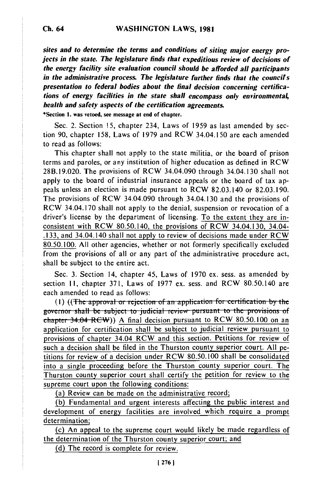*sites and to determine the terms and conditions of siting major energy projects* **in the state. The legislature finds that expeditious review of decisions of the energy facility site evaluation council should** *be* **afforded all participants in the administrative process. The legislature further finds that the councils presentation to federal** *bodies* **about the final decision concerning certifications of energy facilities in the state shall encompass only environmental, health and safety aspects of the certification agreements.**

**\*Section 1. was vetoed, see message at end of chapter.**

Sec. 2. Section 15, chapter 234, Laws of 1959 as last amended by section 90, chapter 158, Laws of 1979 and RCW 34.04.150 are each amended to read as follows:

This chapter shall not apply to the state militia, or the board of prison terms and paroles, or any institution of higher education as defined in RCW 28B.19.020. The provisions of RCW 34.04.090 through 34.04.130 shall not apply to the board of industrial insurance appeals or the board of tax appeals unless an election is made pursuant to RCW 82.03.140 or 82.03.190. The provisions of RCW 34.04.090 through 34.04.130 and the provisions of RCW 34.04.170 shall not apply to the denial, suspension or revocation of a driver's license by the department of licensing. To the extent they are inconsistent with RCW 80.50.140, the provisions of RCW 34.04.130, 34.04- .133, and 34.04.140 shall not apply to review of decisions made under RCW 80.50.100. All other agencies, whether or not formerly specifically excluded from the provisions of all or any part of the administrative procedure act, shall be subject to the entire act.

Sec. **3.** Section 14, chapter 45, Laws of 1970 ex. sess. as amended by section 11, chapter 371, Laws of 1977 ex. sess. and RCW 80.50.140 are each amended to read as follows:

(1) ((The approval or rejection of an application for certification by the governor shall be subject to judicial review pursuant to the provisions of chapter 34.04 RCW)) A final decision pursuant to RCW 80.50.100 on an application for certification shall be subject to judicial review pursuant to provisions of chapter 34.04 RCW and this section. Petitions for review of such a decision shall be filed in the Thurston county superior court. All petitions for review of a decision under RCW 80.50.100 shall be consolidated into a single proceeding before the Thurston county superior court. The Thurston county superior court shall certify the petition for review to the supreme court upon the following conditions:

(a) Review can be made on the administrative record;

**(b)** Fundamental and urgent interests affecting the public interest and development of energy facilities are involved which require a prompt determination;

(c) An appeal to the supreme court would likely be made regardless of the determination of the Thurston county superior court; and

(d) The record is complete for review.